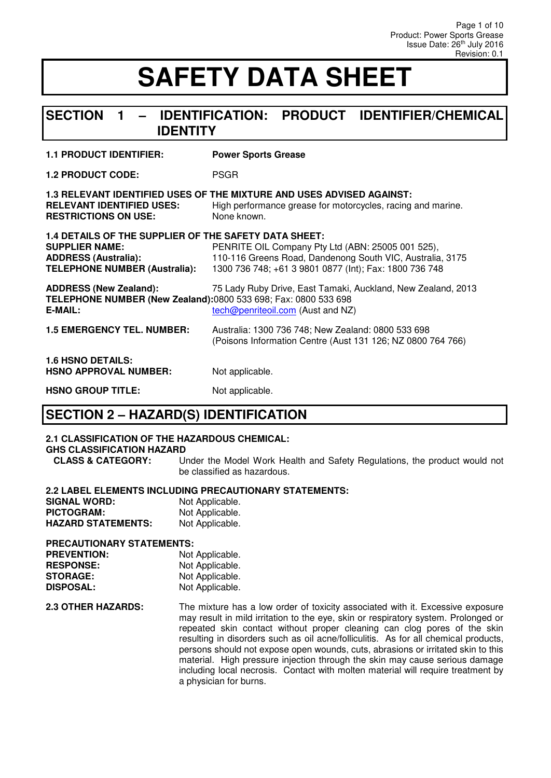#### **SECTION 1 – IDENTIFICATION: PRODUCT IDENTIFIER/CHEMICAL IDENTITY**

**1.2 PRODUCT CODE:** PSGR

| <b>RELEVANT IDENTIFIED USES:</b><br><b>RESTRICTIONS ON USE:</b>                                                                                | 1.3 RELEVANT IDENTIFIED USES OF THE MIXTURE AND USES ADVISED AGAINST:<br>High performance grease for motorcycles, racing and marine.<br>None known.                      |
|------------------------------------------------------------------------------------------------------------------------------------------------|--------------------------------------------------------------------------------------------------------------------------------------------------------------------------|
| 1.4 DETAILS OF THE SUPPLIER OF THE SAFETY DATA SHEET:<br><b>SUPPLIER NAME:</b><br><b>ADDRESS (Australia):</b><br>TELEPHONE NUMBER (Australia): | PENRITE OIL Company Pty Ltd (ABN: 25005 001 525),<br>110-116 Greens Road, Dandenong South VIC, Australia, 3175<br>1300 736 748; +61 3 9801 0877 (Int); Fax: 1800 736 748 |
| <b>ADDRESS (New Zealand):</b><br>TELEPHONE NUMBER (New Zealand):0800 533 698; Fax: 0800 533 698<br>E-MAIL:                                     | 75 Lady Ruby Drive, East Tamaki, Auckland, New Zealand, 2013<br>tech@penriteoil.com (Aust and NZ)                                                                        |
| <b>1.5 EMERGENCY TEL. NUMBER:</b>                                                                                                              | Australia: 1300 736 748; New Zealand: 0800 533 698<br>(Poisons Information Centre (Aust 131 126; NZ 0800 764 766)                                                        |
| <b>1.6 HSNO DETAILS:</b><br><b>HSNO APPROVAL NUMBER:</b>                                                                                       | Not applicable.                                                                                                                                                          |
| <b>HSNO GROUP TITLE:</b>                                                                                                                       | Not applicable.                                                                                                                                                          |

### **SECTION 2 – HAZARD(S) IDENTIFICATION**

#### **2.1 CLASSIFICATION OF THE HAZARDOUS CHEMICAL:**

**GHS CLASSIFICATION HAZARD** 

Under the Model Work Health and Safety Regulations, the product would not be classified as hazardous.

#### **2.2 LABEL ELEMENTS INCLUDING PRECAUTIONARY STATEMENTS:**

| <b>SIGNAL WORD:</b>       | Not Applicable. |
|---------------------------|-----------------|
| PICTOGRAM:                | Not Applicable. |
| <b>HAZARD STATEMENTS:</b> | Not Applicable. |

#### **PRECAUTIONARY STATEMENTS:**

| Not Applicable. |
|-----------------|
| Not Applicable. |
| Not Applicable. |
| Not Applicable. |
|                 |

**2.3 OTHER HAZARDS:** The mixture has a low order of toxicity associated with it. Excessive exposure may result in mild irritation to the eye, skin or respiratory system. Prolonged or repeated skin contact without proper cleaning can clog pores of the skin resulting in disorders such as oil acne/folliculitis. As for all chemical products, persons should not expose open wounds, cuts, abrasions or irritated skin to this material. High pressure injection through the skin may cause serious damage including local necrosis. Contact with molten material will require treatment by a physician for burns.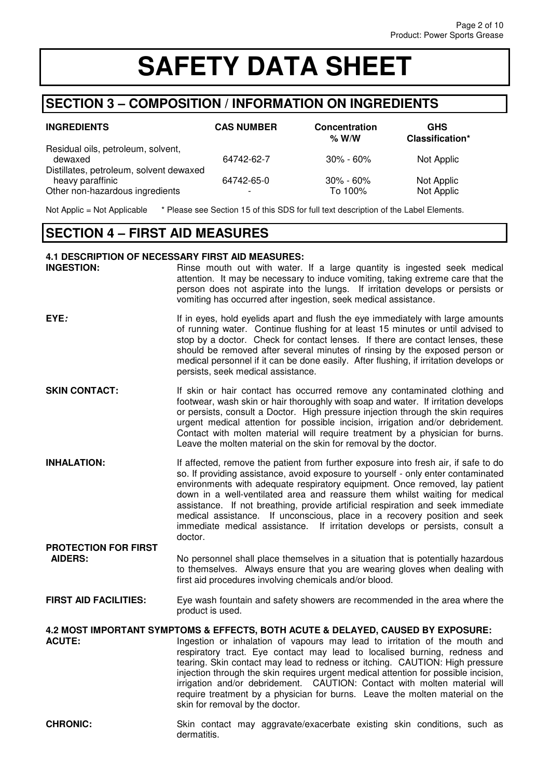### **SECTION 3 – COMPOSITION / INFORMATION ON INGREDIENTS**

| <b>INGREDIENTS</b>                                                                             | <b>CAS NUMBER</b> | <b>Concentration</b><br>% W/W | <b>GHS</b><br>Classification* |
|------------------------------------------------------------------------------------------------|-------------------|-------------------------------|-------------------------------|
| Residual oils, petroleum, solvent,<br>dewaxed                                                  | 64742-62-7        | $30\% - 60\%$                 | Not Applic                    |
| Distillates, petroleum, solvent dewaxed<br>heavy paraffinic<br>Other non-hazardous ingredients | 64742-65-0        | $30\% - 60\%$<br>To 100%      | Not Applic<br>Not Applic      |

Not Applic = Not Applicable \* Please see Section 15 of this SDS for full text description of the Label Elements.

### **SECTION 4 – FIRST AID MEASURES**

**PROTECTION FOR FIRST** 

#### **4.1 DESCRIPTION OF NECESSARY FIRST AID MEASURES:**

| <b>INGESTION:</b> | Rinse mouth out with water. If a large quantity is ingested seek medical        |
|-------------------|---------------------------------------------------------------------------------|
|                   | attention. It may be necessary to induce vomiting, taking extreme care that the |
|                   | person does not aspirate into the lungs. If irritation develops or persists or  |
|                   | vomiting has occurred after ingestion, seek medical assistance.                 |

- **EYE**: If in eyes, hold eyelids apart and flush the eye immediately with large amounts of running water. Continue flushing for at least 15 minutes or until advised to stop by a doctor. Check for contact lenses. If there are contact lenses, these should be removed after several minutes of rinsing by the exposed person or medical personnel if it can be done easily. After flushing, if irritation develops or persists, seek medical assistance.
- **SKIN CONTACT:** If skin or hair contact has occurred remove any contaminated clothing and footwear, wash skin or hair thoroughly with soap and water. If irritation develops or persists, consult a Doctor. High pressure injection through the skin requires urgent medical attention for possible incision, irrigation and/or debridement. Contact with molten material will require treatment by a physician for burns. Leave the molten material on the skin for removal by the doctor.
- **INHALATION:** If affected, remove the patient from further exposure into fresh air, if safe to do so. If providing assistance, avoid exposure to yourself - only enter contaminated environments with adequate respiratory equipment. Once removed, lay patient down in a well-ventilated area and reassure them whilst waiting for medical assistance. If not breathing, provide artificial respiration and seek immediate medical assistance. If unconscious, place in a recovery position and seek immediate medical assistance. If irritation develops or persists, consult a doctor.
- **AIDERS:** No personnel shall place themselves in a situation that is potentially hazardous to themselves. Always ensure that you are wearing gloves when dealing with first aid procedures involving chemicals and/or blood.
- **FIRST AID FACILITIES:** Eye wash fountain and safety showers are recommended in the area where the product is used.

# **4.2 MOST IMPORTANT SYMPTOMS & EFFECTS, BOTH ACUTE & DELAYED, CAUSED BY EXPOSURE:**

- Ingestion or inhalation of vapours may lead to irritation of the mouth and respiratory tract. Eye contact may lead to localised burning, redness and tearing. Skin contact may lead to redness or itching. CAUTION: High pressure injection through the skin requires urgent medical attention for possible incision, irrigation and/or debridement. CAUTION: Contact with molten material will require treatment by a physician for burns. Leave the molten material on the skin for removal by the doctor.
- **CHRONIC:** Skin contact may aggravate/exacerbate existing skin conditions, such as dermatitis.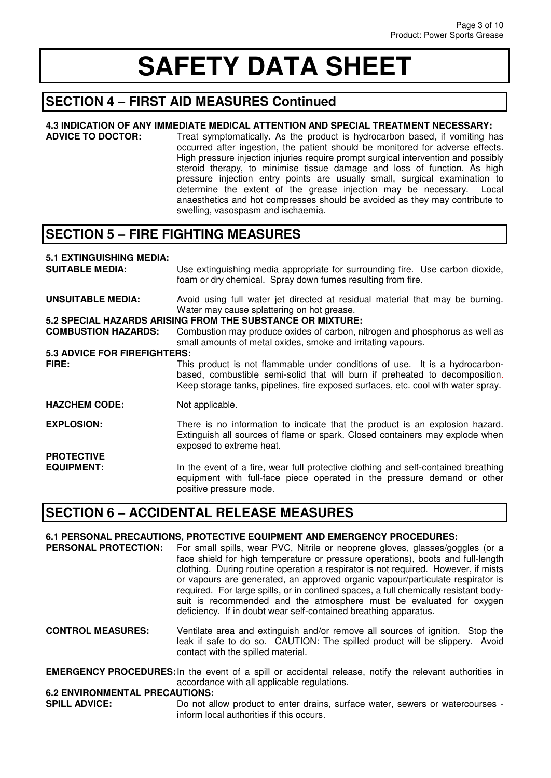### **SECTION 4 – FIRST AID MEASURES Continued**

# **4.3 INDICATION OF ANY IMMEDIATE MEDICAL ATTENTION AND SPECIAL TREATMENT NECESSARY:**

Treat symptomatically. As the product is hydrocarbon based, if vomiting has occurred after ingestion, the patient should be monitored for adverse effects. High pressure injection injuries require prompt surgical intervention and possibly steroid therapy, to minimise tissue damage and loss of function. As high pressure injection entry points are usually small, surgical examination to determine the extent of the grease injection may be necessary. Local anaesthetics and hot compresses should be avoided as they may contribute to swelling, vasospasm and ischaemia.

### **SECTION 5 – FIRE FIGHTING MEASURES**

# **5.1 EXTINGUISHING MEDIA:**

Use extinguishing media appropriate for surrounding fire. Use carbon dioxide, foam or dry chemical. Spray down fumes resulting from fire. **UNSUITABLE MEDIA:** Avoid using full water jet directed at residual material that may be burning. Water may cause splattering on hot grease. **5.2 SPECIAL HAZARDS ARISING FROM THE SUBSTANCE OR MIXTURE:**  Combustion may produce oxides of carbon, nitrogen and phosphorus as well as small amounts of metal oxides, smoke and irritating vapours. **5.3 ADVICE FOR FIREFIGHTERS: FIRE:** This product is not flammable under conditions of use. It is a hydrocarbonbased, combustible semi-solid that will burn if preheated to decomposition. Keep storage tanks, pipelines, fire exposed surfaces, etc. cool with water spray. **HAZCHEM CODE:** Not applicable. **EXPLOSION:** There is no information to indicate that the product is an explosion hazard. Extinguish all sources of flame or spark. Closed containers may explode when exposed to extreme heat. **PROTECTIVE EQUIPMENT:** In the event of a fire, wear full protective clothing and self-contained breathing equipment with full-face piece operated in the pressure demand or other positive pressure mode.

### **SECTION 6 – ACCIDENTAL RELEASE MEASURES**

#### **6.1 PERSONAL PRECAUTIONS, PROTECTIVE EQUIPMENT AND EMERGENCY PROCEDURES:**

**PERSONAL PROTECTION:** For small spills, wear PVC, Nitrile or neoprene gloves, glasses/goggles (or a face shield for high temperature or pressure operations), boots and full-length clothing. During routine operation a respirator is not required. However, if mists or vapours are generated, an approved organic vapour/particulate respirator is required. For large spills, or in confined spaces, a full chemically resistant bodysuit is recommended and the atmosphere must be evaluated for oxygen deficiency. If in doubt wear self-contained breathing apparatus.

**CONTROL MEASURES:** Ventilate area and extinguish and/or remove all sources of ignition. Stop the leak if safe to do so. CAUTION: The spilled product will be slippery. Avoid contact with the spilled material.

**EMERGENCY PROCEDURES:** In the event of a spill or accidental release, notify the relevant authorities in accordance with all applicable regulations.

## **6.2 ENVIRONMENTAL PRECAUTIONS:**<br>**SPILL ADVICE:** Do not all

Do not allow product to enter drains, surface water, sewers or watercourses inform local authorities if this occurs.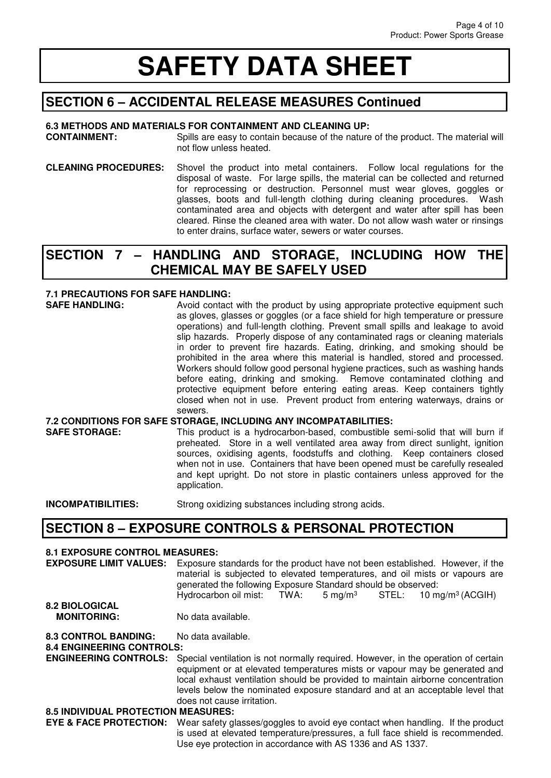### **SECTION 6 – ACCIDENTAL RELEASE MEASURES Continued**

#### **6.3 METHODS AND MATERIALS FOR CONTAINMENT AND CLEANING UP:**

**CONTAINMENT:** Spills are easy to contain because of the nature of the product. The material will not flow unless heated.

**CLEANING PROCEDURES:** Shovel the product into metal containers. Follow local regulations for the disposal of waste. For large spills, the material can be collected and returned for reprocessing or destruction. Personnel must wear gloves, goggles or glasses, boots and full-length clothing during cleaning procedures. Wash contaminated area and objects with detergent and water after spill has been cleared. Rinse the cleaned area with water. Do not allow wash water or rinsings to enter drains, surface water, sewers or water courses.

#### **SECTION 7 – HANDLING AND STORAGE, INCLUDING HOW THE CHEMICAL MAY BE SAFELY USED**

#### **7.1 PRECAUTIONS FOR SAFE HANDLING:**

**SAFE HANDLING:** Avoid contact with the product by using appropriate protective equipment such as gloves, glasses or goggles (or a face shield for high temperature or pressure operations) and full-length clothing. Prevent small spills and leakage to avoid slip hazards. Properly dispose of any contaminated rags or cleaning materials in order to prevent fire hazards. Eating, drinking, and smoking should be prohibited in the area where this material is handled, stored and processed. Workers should follow good personal hygiene practices, such as washing hands before eating, drinking and smoking. Remove contaminated clothing and protective equipment before entering eating areas. Keep containers tightly closed when not in use. Prevent product from entering waterways, drains or sewers. **7.2 CONDITIONS FOR SAFE STORAGE, INCLUDING ANY INCOMPATABILITIES: SAFE STORAGE:** This product is a hydrocarbon-based, combustible semi-solid that will burn if preheated. Store in a well ventilated area away from direct sunlight, ignition sources, oxidising agents, foodstuffs and clothing. Keep containers closed when not in use. Containers that have been opened must be carefully resealed

and kept upright. Do not store in plastic containers unless approved for the

**INCOMPATIBILITIES:** Strong oxidizing substances including strong acids.

application.

#### **SECTION 8 – EXPOSURE CONTROLS & PERSONAL PROTECTION**

#### **8.1 EXPOSURE CONTROL MEASURES:**

| <b>EXPOSURE LIMIT VALUES:</b>              | Exposure standards for the product have not been established. However, if the<br>material is subjected to elevated temperatures, and oil mists or vapours are<br>generated the following Exposure Standard should be observed:<br>Hydrocarbon oil mist: TWA:<br>$5 \text{ mg/m}^3$ STEL: $10 \text{ mg/m}^3$ (ACGIH)                                              |  |
|--------------------------------------------|-------------------------------------------------------------------------------------------------------------------------------------------------------------------------------------------------------------------------------------------------------------------------------------------------------------------------------------------------------------------|--|
| <b>8.2 BIOLOGICAL</b>                      |                                                                                                                                                                                                                                                                                                                                                                   |  |
| <b>MONITORING:</b>                         | No data available.                                                                                                                                                                                                                                                                                                                                                |  |
| <b>8.3 CONTROL BANDING:</b>                | No data available.                                                                                                                                                                                                                                                                                                                                                |  |
| <b>8.4 ENGINEERING CONTROLS:</b>           |                                                                                                                                                                                                                                                                                                                                                                   |  |
| <b>ENGINEERING CONTROLS:</b>               | Special ventilation is not normally required. However, in the operation of certain<br>equipment or at elevated temperatures mists or vapour may be generated and<br>local exhaust ventilation should be provided to maintain airborne concentration<br>levels below the nominated exposure standard and at an acceptable level that<br>does not cause irritation. |  |
| <b>8.5 INDIVIDUAL PROTECTION MEASURES:</b> |                                                                                                                                                                                                                                                                                                                                                                   |  |
| <b>EYE &amp; FACE PROTECTION:</b>          | Wear safety glasses/goggles to avoid eye contact when handling. If the product<br>is used at elevated temperature/pressures, a full face shield is recommended.<br>Use eye protection in accordance with AS 1336 and AS 1337.                                                                                                                                     |  |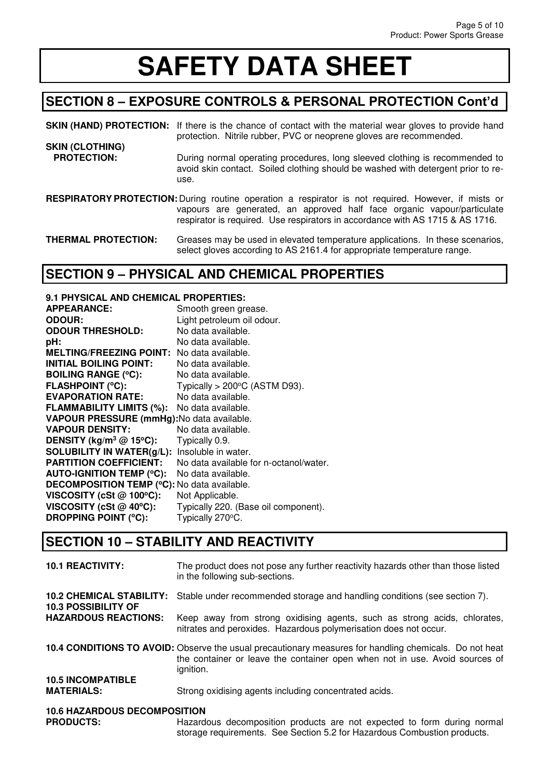### **SECTION 8 – EXPOSURE CONTROLS & PERSONAL PROTECTION Cont'd**

**SKIN (HAND) PROTECTION:** If there is the chance of contact with the material wear gloves to provide hand protection. Nitrile rubber, PVC or neoprene gloves are recommended. **SKIN (CLOTHING)** 

- **PROTECTION:** During normal operating procedures, long sleeved clothing is recommended to avoid skin contact. Soiled clothing should be washed with detergent prior to reuse.
- **RESPIRATORY PROTECTION:** During routine operation a respirator is not required. However, if mists or vapours are generated, an approved half face organic vapour/particulate respirator is required. Use respirators in accordance with AS 1715 & AS 1716.

**THERMAL PROTECTION:** Greases may be used in elevated temperature applications. In these scenarios, select gloves according to AS 2161.4 for appropriate temperature range.

### **SECTION 9 – PHYSICAL AND CHEMICAL PROPERTIES**

| 9.1 PHYSICAL AND CHEMICAL PROPERTIES:              |                                           |
|----------------------------------------------------|-------------------------------------------|
| <b>APPEARANCE:</b>                                 | Smooth green grease.                      |
| <b>ODOUR:</b>                                      | Light petroleum oil odour.                |
| <b>ODOUR THRESHOLD:</b>                            | No data available.                        |
| pH:                                                | No data available.                        |
| <b>MELTING/FREEZING POINT:</b>                     | No data available.                        |
| <b>INITIAL BOILING POINT:</b>                      | No data available.                        |
| <b>BOILING RANGE (°C):</b>                         | No data available.                        |
| <b>FLASHPOINT (°C):</b>                            | Typically $>$ 200 $\degree$ C (ASTM D93). |
| <b>EVAPORATION RATE:</b>                           | No data available.                        |
| <b>FLAMMABILITY LIMITS (%):</b>                    | No data available.                        |
| VAPOUR PRESSURE (mmHg): No data available.         |                                           |
| <b>VAPOUR DENSITY:</b>                             | No data available.                        |
| DENSITY (kg/m <sup>3</sup> @ 15°C):                | Typically 0.9.                            |
| <b>SOLUBILITY IN WATER(g/L):</b>                   | Insoluble in water.                       |
| <b>PARTITION COEFFICIENT:</b>                      | No data available for n-octanol/water.    |
| <b>AUTO-IGNITION TEMP (°C):</b>                    | No data available.                        |
| <b>DECOMPOSITION TEMP (°C): No data available.</b> |                                           |
| VISCOSITY (cSt $@$ 100°C):                         | Not Applicable.                           |
| VISCOSITY (cSt @ 40°C):                            | Typically 220. (Base oil component).      |
| <b>DROPPING POINT (°C):</b>                        | Typically 270°C.                          |
|                                                    |                                           |

### **SECTION 10 – STABILITY AND REACTIVITY**

| <b>10.1 REACTIVITY:</b>                                       | The product does not pose any further reactivity hazards other than those listed<br>in the following sub-sections.                                                                                 |
|---------------------------------------------------------------|----------------------------------------------------------------------------------------------------------------------------------------------------------------------------------------------------|
| <b>10.2 CHEMICAL STABILITY:</b><br><b>10.3 POSSIBILITY OF</b> | Stable under recommended storage and handling conditions (see section 7).                                                                                                                          |
| <b>HAZARDOUS REACTIONS:</b>                                   | Keep away from strong oxidising agents, such as strong acids, chlorates,<br>nitrates and peroxides. Hazardous polymerisation does not occur.                                                       |
|                                                               | 10.4 CONDITIONS TO AVOID: Observe the usual precautionary measures for handling chemicals. Do not heat<br>the container or leave the container open when not in use. Avoid sources of<br>ignition. |
| <b>10.5 INCOMPATIBLE</b><br><b>MATERIALS:</b>                 | Strong oxidising agents including concentrated acids.                                                                                                                                              |
| <b>10.6 HAZARDOUS DECOMPOSITION</b>                           |                                                                                                                                                                                                    |

#### **10.6 HAZARDOUS DECOMPOSITION**

**PRODUCTS:** Hazardous decomposition products are not expected to form during normal storage requirements. See Section 5.2 for Hazardous Combustion products.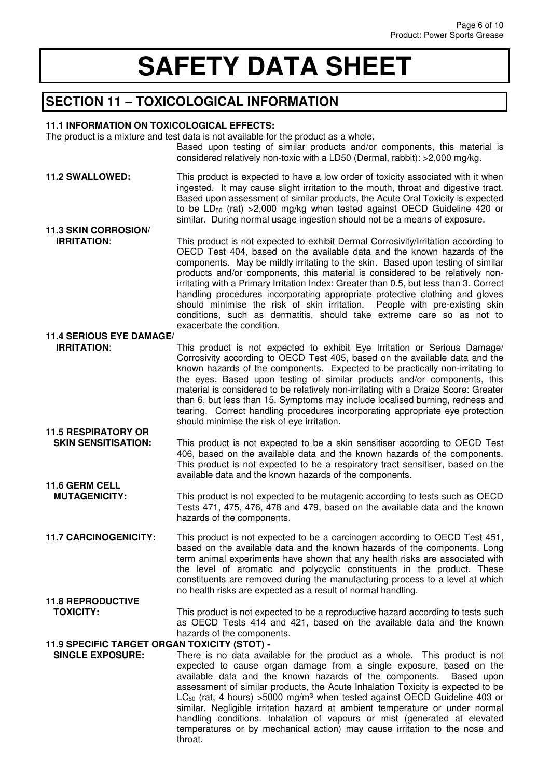### **SECTION 11 – TOXICOLOGICAL INFORMATION**

#### **11.1 INFORMATION ON TOXICOLOGICAL EFFECTS:**

The product is a mixture and test data is not available for the product as a whole.

Based upon testing of similar products and/or components, this material is considered relatively non-toxic with a LD50 (Dermal, rabbit): >2,000 mg/kg.

- **11.2 SWALLOWED:** This product is expected to have a low order of toxicity associated with it when ingested. It may cause slight irritation to the mouth, throat and digestive tract. Based upon assessment of similar products, the Acute Oral Toxicity is expected to be LD<sub>50</sub> (rat) > 2,000 mg/kg when tested against OECD Guideline 420 or similar. During normal usage ingestion should not be a means of exposure. **11.3 SKIN CORROSION/ IRRITATION:** This product is not expected to exhibit Dermal Corrosivity/Irritation according to OECD Test 404, based on the available data and the known hazards of the components. May be mildly irritating to the skin. Based upon testing of similar products and/or components, this material is considered to be relatively nonirritating with a Primary Irritation Index: Greater than 0.5, but less than 3. Correct handling procedures incorporating appropriate protective clothing and gloves should minimise the risk of skin irritation. People with pre-existing skin conditions, such as dermatitis, should take extreme care so as not to exacerbate the condition. **11.4 SERIOUS EYE DAMAGE/ IRRITATION:** This product is not expected to exhibit Eye Irritation or Serious Damage/ Corrosivity according to OECD Test 405, based on the available data and the known hazards of the components. Expected to be practically non-irritating to the eyes. Based upon testing of similar products and/or components, this material is considered to be relatively non-irritating with a Draize Score: Greater than 6, but less than 15. Symptoms may include localised burning, redness and tearing. Correct handling procedures incorporating appropriate eye protection
- **SKIN SENSITISATION:** This product is not expected to be a skin sensitiser according to OECD Test 406, based on the available data and the known hazards of the components. This product is not expected to be a respiratory tract sensitiser, based on the available data and the known hazards of the components. **11.6 GERM CELL**

should minimise the risk of eye irritation.

- **MUTAGENICITY:** This product is not expected to be mutagenic according to tests such as OECD Tests 471, 475, 476, 478 and 479, based on the available data and the known hazards of the components.
- **11.7 CARCINOGENICITY:** This product is not expected to be a carcinogen according to OECD Test 451, based on the available data and the known hazards of the components. Long term animal experiments have shown that any health risks are associated with the level of aromatic and polycyclic constituents in the product. These constituents are removed during the manufacturing process to a level at which no health risks are expected as a result of normal handling.
- **11.8 REPRODUCTIVE TOXICITY:** This product is not expected to be a reproductive hazard according to tests such as OECD Tests 414 and 421, based on the available data and the known hazards of the components.

## **11.9 SPECIFIC TARGET ORGAN TOXICITY (STOT) -**

**11.5 RESPIRATORY OR** 

There is no data available for the product as a whole. This product is not expected to cause organ damage from a single exposure, based on the available data and the known hazards of the components.Based upon assessment of similar products, the Acute Inhalation Toxicity is expected to be  $LC_{50}$  (rat, 4 hours) > 5000 mg/m<sup>3</sup> when tested against OECD Guideline 403 or similar. Negligible irritation hazard at ambient temperature or under normal handling conditions. Inhalation of vapours or mist (generated at elevated temperatures or by mechanical action) may cause irritation to the nose and throat.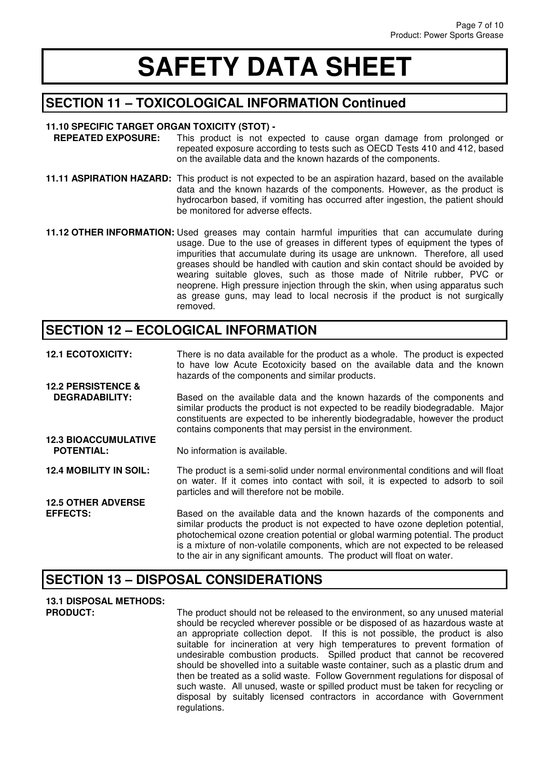#### **SECTION 11 – TOXICOLOGICAL INFORMATION Continued**

# **11.10 SPECIFIC TARGET ORGAN TOXICITY (STOT) -**

- This product is not expected to cause organ damage from prolonged or repeated exposure according to tests such as OECD Tests 410 and 412, based on the available data and the known hazards of the components.
- **11.11 ASPIRATION HAZARD:** This product is not expected to be an aspiration hazard, based on the available data and the known hazards of the components. However, as the product is hydrocarbon based, if vomiting has occurred after ingestion, the patient should be monitored for adverse effects.
- **11.12 OTHER INFORMATION:** Used greases may contain harmful impurities that can accumulate during usage. Due to the use of greases in different types of equipment the types of impurities that accumulate during its usage are unknown. Therefore, all used greases should be handled with caution and skin contact should be avoided by wearing suitable gloves, such as those made of Nitrile rubber, PVC or neoprene. High pressure injection through the skin, when using apparatus such as grease guns, may lead to local necrosis if the product is not surgically removed.

#### **SECTION 12 – ECOLOGICAL INFORMATION**

**12.1 ECOTOXICITY:** There is no data available for the product as a whole. The product is expected to have low Acute Ecotoxicity based on the available data and the known hazards of the components and similar products. **12.2 PERSISTENCE & DEGRADABILITY:** Based on the available data and the known hazards of the components and similar products the product is not expected to be readily biodegradable. Major constituents are expected to be inherently biodegradable, however the product contains components that may persist in the environment. **12.3 BIOACCUMULATIVE POTENTIAL:** No information is available. **12.4 MOBILITY IN SOIL:** The product is a semi-solid under normal environmental conditions and will float on water. If it comes into contact with soil, it is expected to adsorb to soil particles and will therefore not be mobile. **12.5 OTHER ADVERSE EFFECTS:** Based on the available data and the known hazards of the components and similar products the product is not expected to have ozone depletion potential, photochemical ozone creation potential or global warming potential. The product is a mixture of non-volatile components, which are not expected to be released

#### **SECTION 13 – DISPOSAL CONSIDERATIONS**

# **13.1 DISPOSAL METHODS:**

**PRODUCT:** The product should not be released to the environment, so any unused material should be recycled wherever possible or be disposed of as hazardous waste at an appropriate collection depot. If this is not possible, the product is also suitable for incineration at very high temperatures to prevent formation of undesirable combustion products. Spilled product that cannot be recovered should be shovelled into a suitable waste container, such as a plastic drum and then be treated as a solid waste. Follow Government regulations for disposal of such waste. All unused, waste or spilled product must be taken for recycling or disposal by suitably licensed contractors in accordance with Government regulations.

to the air in any significant amounts. The product will float on water.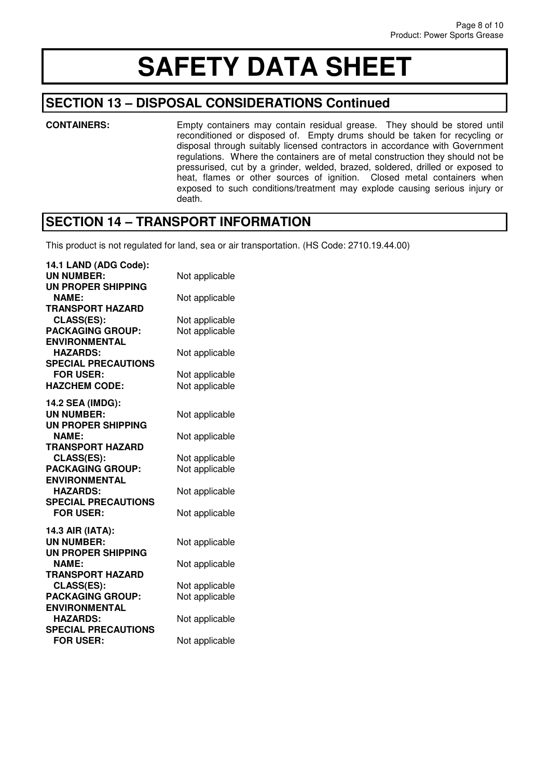#### **SECTION 13 – DISPOSAL CONSIDERATIONS Continued**

**CONTAINERS:** Empty containers may contain residual grease. They should be stored until reconditioned or disposed of. Empty drums should be taken for recycling or disposal through suitably licensed contractors in accordance with Government regulations. Where the containers are of metal construction they should not be pressurised, cut by a grinder, welded, brazed, soldered, drilled or exposed to heat, flames or other sources of ignition. Closed metal containers when exposed to such conditions/treatment may explode causing serious injury or death.

#### **SECTION 14 – TRANSPORT INFORMATION**

This product is not regulated for land, sea or air transportation. (HS Code: 2710.19.44.00)

| 14.1 LAND (ADG Code):      |                |
|----------------------------|----------------|
| <b>UN NUMBER:</b>          | Not applicable |
| UN PROPER SHIPPING         |                |
| <b>NAME:</b>               | Not applicable |
| <b>TRANSPORT HAZARD</b>    |                |
| CLASS(ES):                 | Not applicable |
| <b>PACKAGING GROUP:</b>    | Not applicable |
| <b>ENVIRONMENTAL</b>       |                |
| <b>HAZARDS:</b>            | Not applicable |
| <b>SPECIAL PRECAUTIONS</b> |                |
| <b>FOR USER:</b>           | Not applicable |
| <b>HAZCHEM CODE:</b>       | Not applicable |
| 14.2 SEA (IMDG):           |                |
| <b>UN NUMBER:</b>          | Not applicable |
| UN PROPER SHIPPING         |                |
| <b>NAME:</b>               | Not applicable |
| <b>TRANSPORT HAZARD</b>    |                |
| <b>CLASS(ES):</b>          | Not applicable |
| <b>PACKAGING GROUP:</b>    | Not applicable |
| <b>ENVIRONMENTAL</b>       |                |
| <b>HAZARDS:</b>            | Not applicable |
| <b>SPECIAL PRECAUTIONS</b> |                |
| <b>FOR USER:</b>           | Not applicable |
| 14.3 AIR (IATA):           |                |
| <b>UN NUMBER:</b>          | Not applicable |
| UN PROPER SHIPPING         |                |
| <b>NAME:</b>               | Not applicable |
| TRANSPORT HAZARD           |                |
| CLASS(ES):                 | Not applicable |
| <b>PACKAGING GROUP:</b>    | Not applicable |
| <b>ENVIRONMENTAL</b>       |                |
| <b>HAZARDS:</b>            | Not applicable |
| <b>SPECIAL PRECAUTIONS</b> |                |
| <b>FOR USER:</b>           | Not applicable |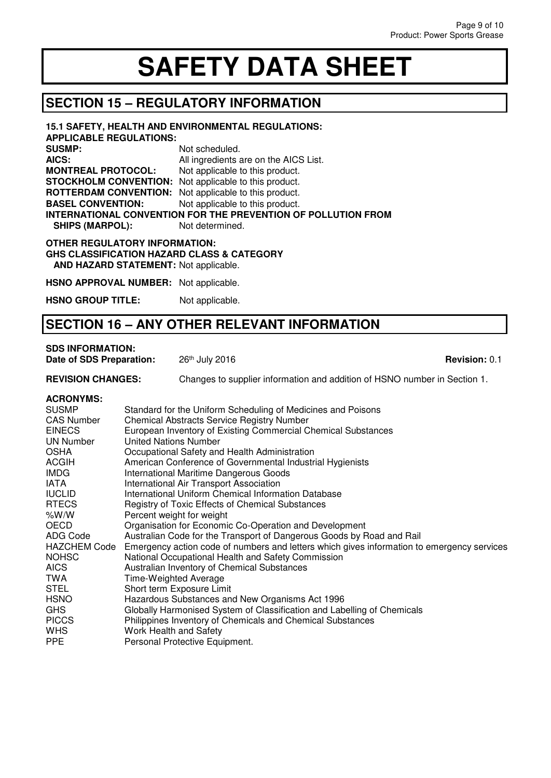### **SECTION 15 – REGULATORY INFORMATION**

| 15.1 SAFETY, HEALTH AND ENVIRONMENTAL REGULATIONS:<br><b>APPLICABLE REGULATIONS:</b>                                                   |                                       |  |
|----------------------------------------------------------------------------------------------------------------------------------------|---------------------------------------|--|
| <b>SUSMP:</b>                                                                                                                          | Not scheduled.                        |  |
| AICS:                                                                                                                                  | All ingredients are on the AICS List. |  |
| <b>MONTREAL PROTOCOL:</b>                                                                                                              | Not applicable to this product.       |  |
| <b>STOCKHOLM CONVENTION:</b> Not applicable to this product.                                                                           |                                       |  |
| <b>ROTTERDAM CONVENTION:</b>                                                                                                           | Not applicable to this product.       |  |
| <b>BASEL CONVENTION:</b>                                                                                                               | Not applicable to this product.       |  |
| <b>INTERNATIONAL CONVENTION FOR THE PREVENTION OF POLLUTION FROM</b>                                                                   |                                       |  |
| <b>SHIPS (MARPOL):</b>                                                                                                                 | Not determined.                       |  |
| <b>OTHER REGULATORY INFORMATION:</b><br><b>GHS CLASSIFICATION HAZARD CLASS &amp; CATEGORY</b><br>AND HAZARD STATEMENT: Not applicable. |                                       |  |

**HSNO APPROVAL NUMBER:** Not applicable.

**HSNO GROUP TITLE:** Not applicable.

### **SECTION 16 – ANY OTHER RELEVANT INFORMATION**

#### **SDS INFORMATION:**

**Date of SDS Preparation:** 26<sup>th</sup> July 2016 **Revision: 0.1 Revision: 0.1 Revision: 0.1** 

#### **REVISION CHANGES:** Changes to supplier information and addition of HSNO number in Section 1.

#### **ACRONYMS:**

| <b>SUSMP</b>        | Standard for the Uniform Scheduling of Medicines and Poisons                               |
|---------------------|--------------------------------------------------------------------------------------------|
| <b>CAS Number</b>   | <b>Chemical Abstracts Service Registry Number</b>                                          |
| <b>EINECS</b>       | European Inventory of Existing Commercial Chemical Substances                              |
| UN Number           | United Nations Number                                                                      |
| <b>OSHA</b>         | Occupational Safety and Health Administration                                              |
| <b>ACGIH</b>        | American Conference of Governmental Industrial Hygienists                                  |
| <b>IMDG</b>         | International Maritime Dangerous Goods                                                     |
| IATA                | International Air Transport Association                                                    |
| <b>IUCLID</b>       | International Uniform Chemical Information Database                                        |
| <b>RTECS</b>        | Registry of Toxic Effects of Chemical Substances                                           |
| %W/W                | Percent weight for weight                                                                  |
| <b>OECD</b>         | Organisation for Economic Co-Operation and Development                                     |
| ADG Code            | Australian Code for the Transport of Dangerous Goods by Road and Rail                      |
| <b>HAZCHEM Code</b> | Emergency action code of numbers and letters which gives information to emergency services |
| <b>NOHSC</b>        | National Occupational Health and Safety Commission                                         |
| AICS.               | Australian Inventory of Chemical Substances                                                |
| TWA                 | Time-Weighted Average                                                                      |
| <b>STEL</b>         | Short term Exposure Limit                                                                  |
| <b>HSNO</b>         | Hazardous Substances and New Organisms Act 1996                                            |
| GHS                 | Globally Harmonised System of Classification and Labelling of Chemicals                    |
| <b>PICCS</b>        | Philippines Inventory of Chemicals and Chemical Substances                                 |
| <b>WHS</b>          | Work Health and Safety                                                                     |
| <b>PPE</b>          | Personal Protective Equipment.                                                             |